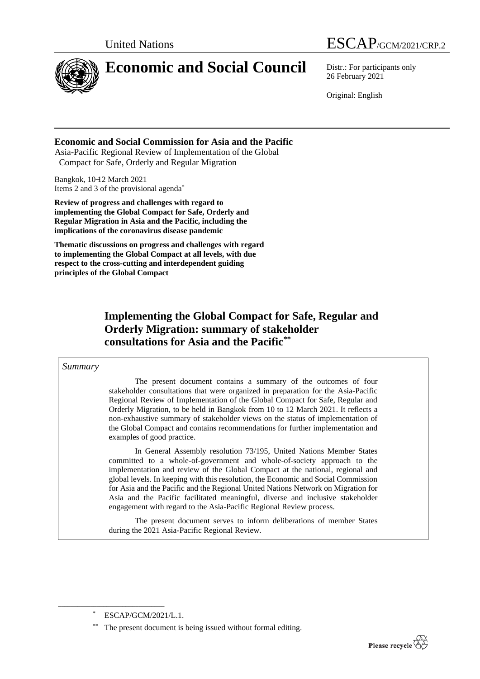

# **Economic and Social Council** Distr.: For participants only

United Nations ESCAP/GCM/2021/CRP.2

26 February 2021

Original: English

#### **Economic and Social Commission for Asia and the Pacific**

Asia-Pacific Regional Review of Implementation of the Global Compact for Safe, Orderly and Regular Migration

Bangkok, 10-12 March 2021 Items 2 and 3 of the provisional agenda\*

**Review of progress and challenges with regard to implementing the Global Compact for Safe, Orderly and Regular Migration in Asia and the Pacific, including the implications of the coronavirus disease pandemic**

**Thematic discussions on progress and challenges with regard to implementing the Global Compact at all levels, with due respect to the cross-cutting and interdependent guiding principles of the Global Compact**

## **Implementing the Global Compact for Safe, Regular and Orderly Migration: summary of stakeholder consultations for Asia and the Pacific\*\***

#### *Summary*

The present document contains a summary of the outcomes of four stakeholder consultations that were organized in preparation for the Asia-Pacific Regional Review of Implementation of the Global Compact for Safe, Regular and Orderly Migration, to be held in Bangkok from 10 to 12 March 2021. It reflects a non-exhaustive summary of stakeholder views on the status of implementation of the Global Compact and contains recommendations for further implementation and examples of good practice.

In General Assembly resolution 73/195, United Nations Member States committed to a whole-of-government and whole-of-society approach to the implementation and review of the Global Compact at the national, regional and global levels. In keeping with this resolution, the Economic and Social Commission for Asia and the Pacific and the Regional United Nations Network on Migration for Asia and the Pacific facilitated meaningful, diverse and inclusive stakeholder engagement with regard to the Asia-Pacific Regional Review process.

The present document serves to inform deliberations of member States during the 2021 Asia-Pacific Regional Review.

\_\_\_\_\_\_\_\_\_\_\_\_\_\_\_\_\_\_\_\_\_\_\_\_\_\_\_\_\_\_\_\_\_



ESCAP/GCM/2021/L.1.

The present document is being issued without formal editing.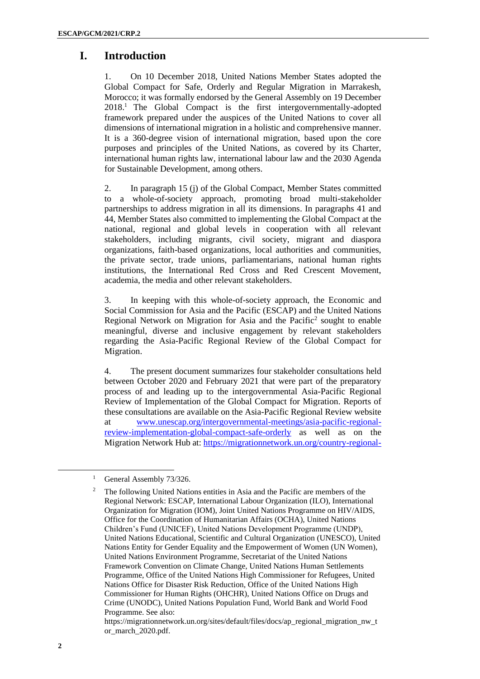### **I. Introduction**

1. On 10 December 2018, United Nations Member States adopted the Global Compact for Safe, Orderly and Regular Migration in Marrakesh, Morocco; it was formally endorsed by the General Assembly on 19 December 2018.<sup>1</sup> The Global Compact is the first intergovernmentally-adopted framework prepared under the auspices of the United Nations to cover all dimensions of international migration in a holistic and comprehensive manner. It is a 360-degree vision of international migration, based upon the core purposes and principles of the United Nations, as covered by its Charter, international human rights law, international labour law and the 2030 Agenda for Sustainable Development, among others.

2. In paragraph 15 (j) of the Global Compact, Member States committed to a whole-of-society approach, promoting broad multi-stakeholder partnerships to address migration in all its dimensions. In paragraphs 41 and 44, Member States also committed to implementing the Global Compact at the national, regional and global levels in cooperation with all relevant stakeholders, including migrants, civil society, migrant and diaspora organizations, faith-based organizations, local authorities and communities, the private sector, trade unions, parliamentarians, national human rights institutions, the International Red Cross and Red Crescent Movement, academia, the media and other relevant stakeholders.

3. In keeping with this whole-of-society approach, the Economic and Social Commission for Asia and the Pacific (ESCAP) and the United Nations Regional Network on Migration for Asia and the Pacific<sup>2</sup> sought to enable meaningful, diverse and inclusive engagement by relevant stakeholders regarding the Asia-Pacific Regional Review of the Global Compact for Migration.

4. The present document summarizes four stakeholder consultations held between October 2020 and February 2021 that were part of the preparatory process of and leading up to the intergovernmental Asia-Pacific Regional Review of Implementation of the Global Compact for Migration. Reports of these consultations are available on the Asia-Pacific Regional Review website at [www.unescap.org/intergovernmental-meetings/asia-pacific-regional](http://www.unescap.org/intergovernmental-meetings/asia-pacific-regional-review-implementation-global-compact-safe-orderly)[review-implementation-global-compact-safe-orderly](http://www.unescap.org/intergovernmental-meetings/asia-pacific-regional-review-implementation-global-compact-safe-orderly) as well as on the Migration Network Hub at: [https://migrationnetwork.un.org/country-regional-](https://migrationnetwork.un.org/country-regional-network/asia-pacific)

<sup>&</sup>lt;sup>1</sup> General Assembly 73/326.

<sup>&</sup>lt;sup>2</sup> The following United Nations entities in Asia and the Pacific are members of the Regional Network: ESCAP, International Labour Organization (ILO), International Organization for Migration (IOM), Joint United Nations Programme on HIV/AIDS, Office for the Coordination of Humanitarian Affairs (OCHA), United Nations Children's Fund (UNICEF), United Nations Development Programme (UNDP), United Nations Educational, Scientific and Cultural Organization (UNESCO), United Nations Entity for Gender Equality and the Empowerment of Women (UN Women), United Nations Environment Programme, Secretariat of the United Nations Framework Convention on Climate Change, United Nations Human Settlements Programme, Office of the United Nations High Commissioner for Refugees, United Nations Office for Disaster Risk Reduction, Office of the United Nations High Commissioner for Human Rights (OHCHR), United Nations Office on Drugs and Crime (UNODC), United Nations Population Fund, World Bank and World Food Programme. See also:

[https://migrationnetwork.un.org/sites/default/files/docs/ap\\_regional\\_migration\\_nw\\_t](https://migrationnetwork.un.org/sites/default/files/docs/ap_regional_migration_nw_tor_march_2020.pdf) [or\\_march\\_2020.pdf.](https://migrationnetwork.un.org/sites/default/files/docs/ap_regional_migration_nw_tor_march_2020.pdf)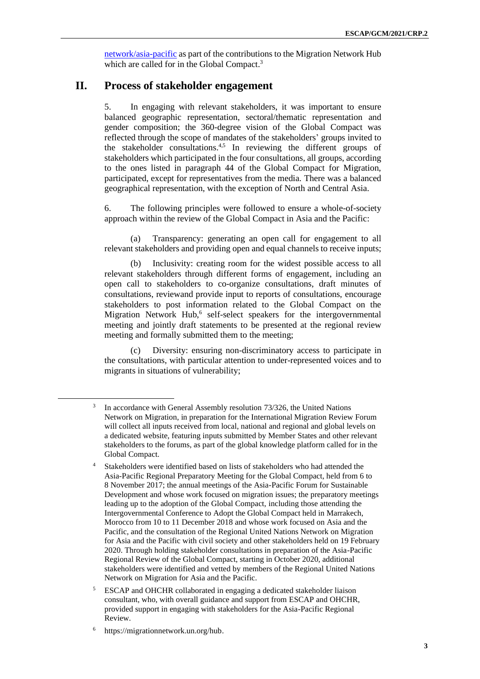[network/asia-pacific](https://migrationnetwork.un.org/country-regional-network/asia-pacific) as part of the contributions to the Migration Network Hub which are called for in the Global Compact.<sup>3</sup>

#### **II. Process of stakeholder engagement**

5. In engaging with relevant stakeholders, it was important to ensure balanced geographic representation, sectoral/thematic representation and gender composition; the 360-degree vision of the Global Compact was reflected through the scope of mandates of the stakeholders' groups invited to the stakeholder consultations.<sup>4,5</sup> In reviewing the different groups of stakeholders which participated in the four consultations, all groups, according to the ones listed in paragraph 44 of the Global Compact for Migration, participated, except for representatives from the media. There was a balanced geographical representation, with the exception of North and Central Asia.

6. The following principles were followed to ensure a whole-of-society approach within the review of the Global Compact in Asia and the Pacific:

(a) Transparency: generating an open call for engagement to all relevant stakeholders and providing open and equal channels to receive inputs;

(b) Inclusivity: creating room for the widest possible access to all relevant stakeholders through different forms of engagement, including an open call to stakeholders to co-organize consultations, draft minutes of consultations, reviewand provide input to reports of consultations, encourage stakeholders to post information related to the Global Compact on the Migration Network Hub,<sup>6</sup> self-select speakers for the intergovernmental meeting and jointly draft statements to be presented at the regional review meeting and formally submitted them to the meeting;

Diversity: ensuring non-discriminatory access to participate in the consultations, with particular attention to under-represented voices and to migrants in situations of vulnerability;

<sup>3</sup> In accordance with General Assembly resolution 73/326, the United Nations Network on Migration, in preparation for the International Migration Review Forum will collect all inputs received from local, national and regional and global levels on a dedicated website, featuring inputs submitted by Member States and other relevant stakeholders to the forums, as part of the global knowledge platform called for in the Global Compact.

<sup>4</sup> Stakeholders were identified based on lists of stakeholders who had attended the Asia-Pacific Regional Preparatory Meeting for the Global Compact, held from 6 to 8 November 2017; the annual meetings of the Asia-Pacific Forum for Sustainable Development and whose work focused on migration issues; the preparatory meetings leading up to the adoption of the Global Compact, including those attending the Intergovernmental Conference to Adopt the Global Compact held in Marrakech, Morocco from 10 to 11 December 2018 and whose work focused on Asia and the Pacific, and the consultation of the Regional United Nations Network on Migration for Asia and the Pacific with civil society and other stakeholders held on 19 February 2020. Through holding stakeholder consultations in preparation of the Asia-Pacific Regional Review of the Global Compact, starting in October 2020, additional stakeholders were identified and vetted by members of the Regional United Nations Network on Migration for Asia and the Pacific.

<sup>5</sup> ESCAP and OHCHR collaborated in engaging a dedicated stakeholder liaison consultant, who, with overall guidance and support from ESCAP and OHCHR, provided support in engaging with stakeholders for the Asia-Pacific Regional Review.

<sup>6</sup> [https://migrationnetwork.un.org/hub.](https://migrationnetwork.un.org/hub)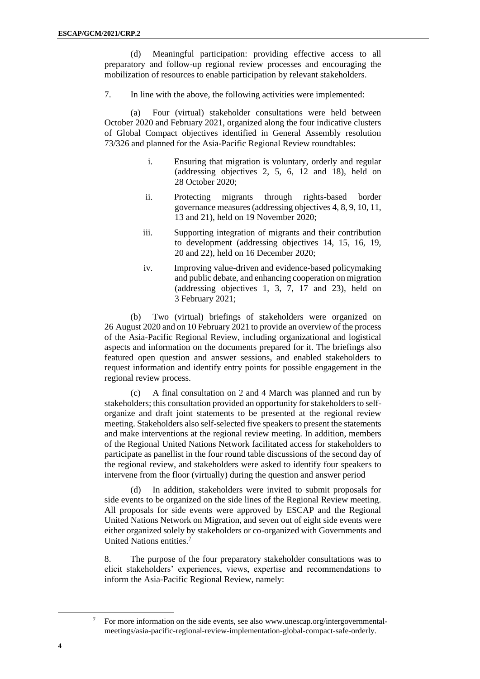(d) Meaningful participation: providing effective access to all preparatory and follow-up regional review processes and encouraging the mobilization of resources to enable participation by relevant stakeholders.

7. In line with the above, the following activities were implemented:

(a) Four (virtual) stakeholder consultations were held between October 2020 and February 2021, organized along the four indicative clusters of Global Compact objectives identified in General Assembly resolution 73/326 and planned for the Asia-Pacific Regional Review roundtables:

- i. Ensuring that migration is voluntary, orderly and regular (addressing objectives 2, 5, 6, 12 and 18), held on 28 October 2020;
- ii. Protecting migrants through rights-based border governance measures (addressing objectives 4, 8, 9, 10, 11, 13 and 21), held on 19 November 2020;
- iii. Supporting integration of migrants and their contribution to development (addressing objectives 14, 15, 16, 19, 20 and 22), held on 16 December 2020;
- iv. Improving value-driven and evidence-based policymaking and public debate, and enhancing cooperation on migration (addressing objectives 1, 3, 7, 17 and 23), held on 3 February 2021;

(b) Two (virtual) briefings of stakeholders were organized on 26 August 2020 and on 10 February 2021 to provide an overview of the process of the Asia-Pacific Regional Review, including organizational and logistical aspects and information on the documents prepared for it. The briefings also featured open question and answer sessions, and enabled stakeholders to request information and identify entry points for possible engagement in the regional review process.

(c) A final consultation on 2 and 4 March was planned and run by stakeholders; this consultation provided an opportunity for stakeholders to selforganize and draft joint statements to be presented at the regional review meeting. Stakeholders also self-selected five speakers to present the statements and make interventions at the regional review meeting. In addition, members of the Regional United Nations Network facilitated access for stakeholders to participate as panellist in the four round table discussions of the second day of the regional review, and stakeholders were asked to identify four speakers to intervene from the floor (virtually) during the question and answer period

(d) In addition, stakeholders were invited to submit proposals for side events to be organized on the side lines of the Regional Review meeting. All proposals for side events were approved by ESCAP and the Regional United Nations Network on Migration, and seven out of eight side events were either organized solely by stakeholders or co-organized with Governments and United Nations entities.<sup>7</sup>

8. The purpose of the four preparatory stakeholder consultations was to elicit stakeholders' experiences, views, expertise and recommendations to inform the Asia-Pacific Regional Review, namely:

For more information on the side events, see also [www.unescap.org/intergovernmental](http://www.unescap.org/intergovernmental-meetings/asia-pacific-regional-review-implementation-global-compact-safe-orderly)[meetings/asia-pacific-regional-review-implementation-global-compact-safe-orderly.](http://www.unescap.org/intergovernmental-meetings/asia-pacific-regional-review-implementation-global-compact-safe-orderly)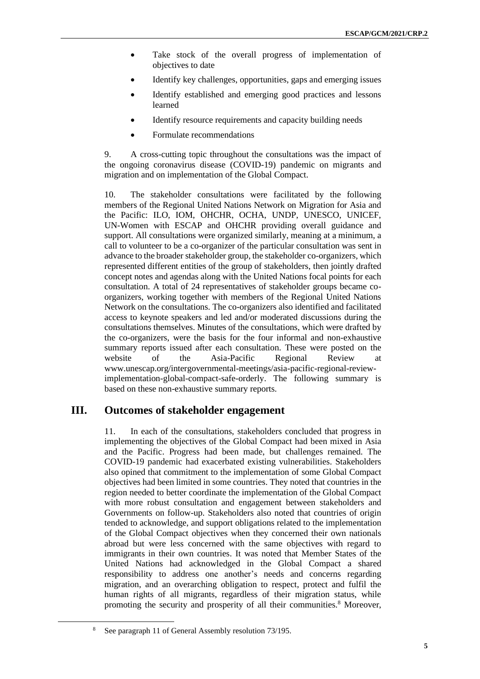- Take stock of the overall progress of implementation of objectives to date
- Identify key challenges, opportunities, gaps and emerging issues
- Identify established and emerging good practices and lessons learned
- Identify resource requirements and capacity building needs
- Formulate recommendations

9. A cross-cutting topic throughout the consultations was the impact of the ongoing coronavirus disease (COVID-19) pandemic on migrants and migration and on implementation of the Global Compact.

10. The stakeholder consultations were facilitated by the following members of the Regional United Nations Network on Migration for Asia and the Pacific: ILO, IOM, OHCHR, OCHA, UNDP, UNESCO, UNICEF, UN-Women with ESCAP and OHCHR providing overall guidance and support. All consultations were organized similarly, meaning at a minimum, a call to volunteer to be a co-organizer of the particular consultation was sent in advance to the broader stakeholder group, the stakeholder co-organizers, which represented different entities of the group of stakeholders, then jointly drafted concept notes and agendas along with the United Nations focal points for each consultation. A total of 24 representatives of stakeholder groups became coorganizers, working together with members of the Regional United Nations Network on the consultations. The co-organizers also identified and facilitated access to keynote speakers and led and/or moderated discussions during the consultations themselves. Minutes of the consultations, which were drafted by the co-organizers, were the basis for the four informal and non-exhaustive summary reports issued after each consultation. These were posted on the website of the Asia-Pacific Regional Review at [www.unescap.org/intergovernmental-meetings/asia-pacific-regional-review](https://www.unescap.org/intergovernmental-meetings/asia-pacific-regional-review-implementation-global-compact-safe-orderly)[implementation-global-compact-safe-orderly.](https://www.unescap.org/intergovernmental-meetings/asia-pacific-regional-review-implementation-global-compact-safe-orderly) The following summary is based on these non-exhaustive summary reports.

#### **III. Outcomes of stakeholder engagement**

11. In each of the consultations, stakeholders concluded that progress in implementing the objectives of the Global Compact had been mixed in Asia and the Pacific. Progress had been made, but challenges remained. The COVID-19 pandemic had exacerbated existing vulnerabilities. Stakeholders also opined that commitment to the implementation of some Global Compact objectives had been limited in some countries. They noted that countries in the region needed to better coordinate the implementation of the Global Compact with more robust consultation and engagement between stakeholders and Governments on follow-up. Stakeholders also noted that countries of origin tended to acknowledge, and support obligations related to the implementation of the Global Compact objectives when they concerned their own nationals abroad but were less concerned with the same objectives with regard to immigrants in their own countries. It was noted that Member States of the United Nations had acknowledged in the Global Compact a shared responsibility to address one another's needs and concerns regarding migration, and an overarching obligation to respect, protect and fulfil the human rights of all migrants, regardless of their migration status, while promoting the security and prosperity of all their communities.<sup>8</sup> Moreover,

See paragraph 11 of General Assembly resolution 73/195.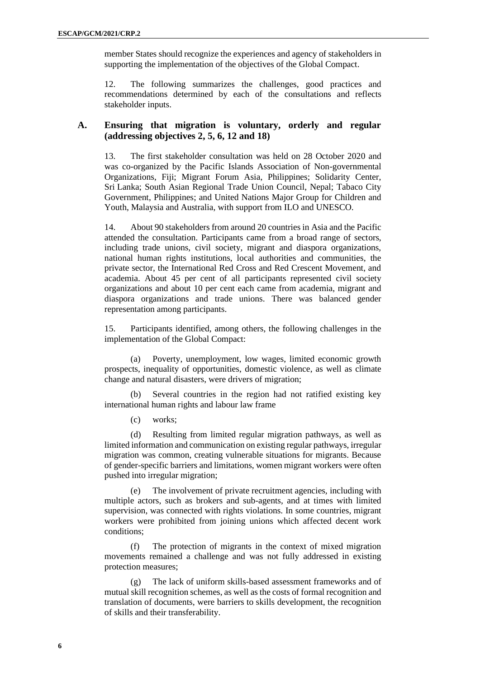member States should recognize the experiences and agency of stakeholders in supporting the implementation of the objectives of the Global Compact.

12. The following summarizes the challenges, good practices and recommendations determined by each of the consultations and reflects stakeholder inputs.

#### **A. Ensuring that migration is voluntary, orderly and regular (addressing objectives 2, 5, 6, 12 and 18)**

13. The first stakeholder consultation was held on 28 October 2020 and was co-organized by the Pacific Islands Association of Non-governmental Organizations, Fiji; Migrant Forum Asia, Philippines; Solidarity Center, Sri Lanka; South Asian Regional Trade Union Council, Nepal; Tabaco City Government, Philippines; and United Nations Major Group for Children and Youth, Malaysia and Australia, with support from ILO and UNESCO.

14. About 90 stakeholders from around 20 countries in Asia and the Pacific attended the consultation. Participants came from a broad range of sectors, including trade unions, civil society, migrant and diaspora organizations, national human rights institutions, local authorities and communities, the private sector, the International Red Cross and Red Crescent Movement, and academia. About 45 per cent of all participants represented civil society organizations and about 10 per cent each came from academia, migrant and diaspora organizations and trade unions. There was balanced gender representation among participants.

15. Participants identified, among others, the following challenges in the implementation of the Global Compact:

(a) Poverty, unemployment, low wages, limited economic growth prospects, inequality of opportunities, domestic violence, as well as climate change and natural disasters, were drivers of migration;

(b) Several countries in the region had not ratified existing key international human rights and labour law frame

(c) works;

(d) Resulting from limited regular migration pathways, as well as limited information and communication on existing regular pathways, irregular migration was common, creating vulnerable situations for migrants. Because of gender-specific barriers and limitations, women migrant workers were often pushed into irregular migration;

(e) The involvement of private recruitment agencies, including with multiple actors, such as brokers and sub-agents, and at times with limited supervision, was connected with rights violations. In some countries, migrant workers were prohibited from joining unions which affected decent work conditions;

(f) The protection of migrants in the context of mixed migration movements remained a challenge and was not fully addressed in existing protection measures;

(g) The lack of uniform skills-based assessment frameworks and of mutual skill recognition schemes, as well as the costs of formal recognition and translation of documents, were barriers to skills development, the recognition of skills and their transferability.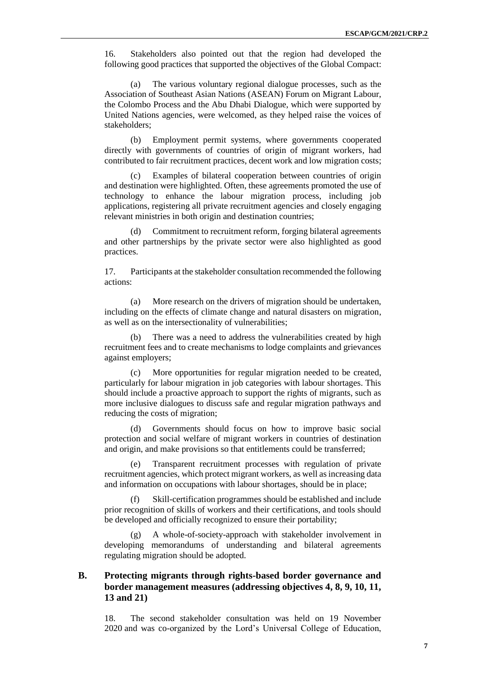16. Stakeholders also pointed out that the region had developed the following good practices that supported the objectives of the Global Compact:

(a) The various voluntary regional dialogue processes, such as the Association of Southeast Asian Nations (ASEAN) Forum on Migrant Labour, the Colombo Process and the Abu Dhabi Dialogue, which were supported by United Nations agencies, were welcomed, as they helped raise the voices of stakeholders;

(b) Employment permit systems, where governments cooperated directly with governments of countries of origin of migrant workers, had contributed to fair recruitment practices, decent work and low migration costs;

(c) Examples of bilateral cooperation between countries of origin and destination were highlighted. Often, these agreements promoted the use of technology to enhance the labour migration process, including job applications, registering all private recruitment agencies and closely engaging relevant ministries in both origin and destination countries;

(d) Commitment to recruitment reform, forging bilateral agreements and other partnerships by the private sector were also highlighted as good practices.

17. Participants at the stakeholder consultation recommended the following actions:

(a) More research on the drivers of migration should be undertaken, including on the effects of climate change and natural disasters on migration, as well as on the intersectionality of vulnerabilities;

(b) There was a need to address the vulnerabilities created by high recruitment fees and to create mechanisms to lodge complaints and grievances against employers;

(c) More opportunities for regular migration needed to be created, particularly for labour migration in job categories with labour shortages. This should include a proactive approach to support the rights of migrants, such as more inclusive dialogues to discuss safe and regular migration pathways and reducing the costs of migration;

(d) Governments should focus on how to improve basic social protection and social welfare of migrant workers in countries of destination and origin, and make provisions so that entitlements could be transferred;

Transparent recruitment processes with regulation of private recruitment agencies, which protect migrant workers, as well as increasing data and information on occupations with labour shortages, should be in place;

(f) Skill-certification programmes should be established and include prior recognition of skills of workers and their certifications, and tools should be developed and officially recognized to ensure their portability;

(g) A whole-of-society-approach with stakeholder involvement in developing memorandums of understanding and bilateral agreements regulating migration should be adopted.

#### **B. Protecting migrants through rights-based border governance and border management measures (addressing objectives 4, 8, 9, 10, 11, 13 and 21)**

18. The second stakeholder consultation was held on 19 November 2020 and was co-organized by the Lord's Universal College of Education,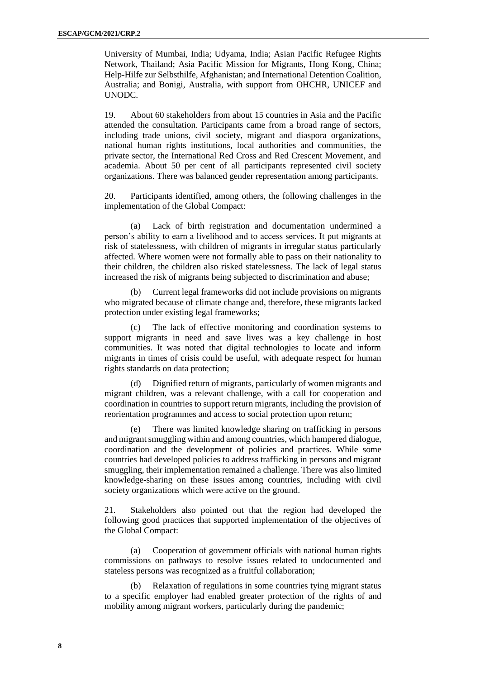University of Mumbai, India; Udyama, India; Asian Pacific Refugee Rights Network, Thailand; Asia Pacific Mission for Migrants, Hong Kong, China; Help-Hilfe zur Selbsthilfe, Afghanistan; and International Detention Coalition, Australia; and Bonigi, Australia, with support from OHCHR, UNICEF and UNODC.

19. About 60 stakeholders from about 15 countries in Asia and the Pacific attended the consultation. Participants came from a broad range of sectors, including trade unions, civil society, migrant and diaspora organizations, national human rights institutions, local authorities and communities, the private sector, the International Red Cross and Red Crescent Movement, and academia. About 50 per cent of all participants represented civil society organizations. There was balanced gender representation among participants.

20. Participants identified, among others, the following challenges in the implementation of the Global Compact:

(a) Lack of birth registration and documentation undermined a person's ability to earn a livelihood and to access services. It put migrants at risk of statelessness, with children of migrants in irregular status particularly affected. Where women were not formally able to pass on their nationality to their children, the children also risked statelessness. The lack of legal status increased the risk of migrants being subjected to discrimination and abuse;

(b) Current legal frameworks did not include provisions on migrants who migrated because of climate change and, therefore, these migrants lacked protection under existing legal frameworks;

(c) The lack of effective monitoring and coordination systems to support migrants in need and save lives was a key challenge in host communities. It was noted that digital technologies to locate and inform migrants in times of crisis could be useful, with adequate respect for human rights standards on data protection;

(d) Dignified return of migrants, particularly of women migrants and migrant children, was a relevant challenge, with a call for cooperation and coordination in countries to support return migrants, including the provision of reorientation programmes and access to social protection upon return;

(e) There was limited knowledge sharing on trafficking in persons and migrant smuggling within and among countries, which hampered dialogue, coordination and the development of policies and practices. While some countries had developed policies to address trafficking in persons and migrant smuggling, their implementation remained a challenge. There was also limited knowledge-sharing on these issues among countries, including with civil society organizations which were active on the ground.

21. Stakeholders also pointed out that the region had developed the following good practices that supported implementation of the objectives of the Global Compact:

(a) Cooperation of government officials with national human rights commissions on pathways to resolve issues related to undocumented and stateless persons was recognized as a fruitful collaboration;

Relaxation of regulations in some countries tying migrant status to a specific employer had enabled greater protection of the rights of and mobility among migrant workers, particularly during the pandemic;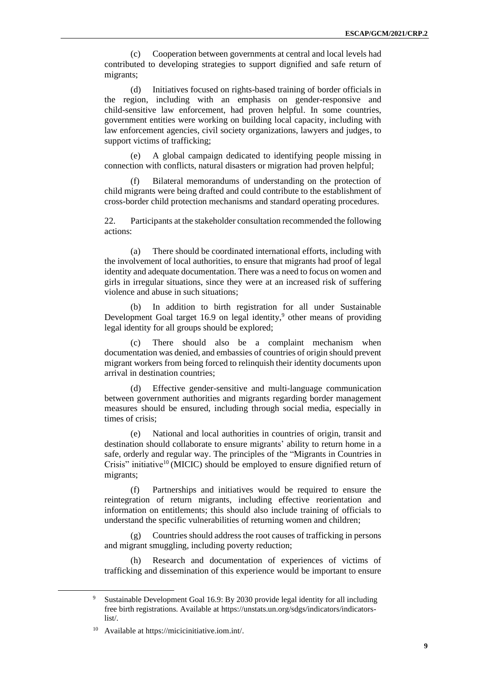(c) Cooperation between governments at central and local levels had contributed to developing strategies to support dignified and safe return of migrants;

(d) Initiatives focused on rights-based training of border officials in the region, including with an emphasis on gender-responsive and child-sensitive law enforcement, had proven helpful. In some countries, government entities were working on building local capacity, including with law enforcement agencies, civil society organizations, lawyers and judges, to support victims of trafficking;

(e) A global campaign dedicated to identifying people missing in connection with conflicts, natural disasters or migration had proven helpful;

(f) Bilateral memorandums of understanding on the protection of child migrants were being drafted and could contribute to the establishment of cross-border child protection mechanisms and standard operating procedures.

22. Participants at the stakeholder consultation recommended the following actions:

(a) There should be coordinated international efforts, including with the involvement of local authorities, to ensure that migrants had proof of legal identity and adequate documentation. There was a need to focus on women and girls in irregular situations, since they were at an increased risk of suffering violence and abuse in such situations;

(b) In addition to birth registration for all under Sustainable Development Goal target 16.9 on legal identity,<sup>9</sup> other means of providing legal identity for all groups should be explored;

(c) There should also be a complaint mechanism when documentation was denied, and embassies of countries of origin should prevent migrant workers from being forced to relinquish their identity documents upon arrival in destination countries;

(d) Effective gender-sensitive and multi-language communication between government authorities and migrants regarding border management measures should be ensured, including through social media, especially in times of crisis;

(e) National and local authorities in countries of origin, transit and destination should collaborate to ensure migrants' ability to return home in a safe, orderly and regular way. The principles of the "Migrants in Countries in Crisis" initiative<sup>10</sup> (MICIC) should be employed to ensure dignified return of migrants;

(f) Partnerships and initiatives would be required to ensure the reintegration of return migrants, including effective reorientation and information on entitlements; this should also include training of officials to understand the specific vulnerabilities of returning women and children;

(g) Countries should address the root causes of trafficking in persons and migrant smuggling, including poverty reduction;

(h) Research and documentation of experiences of victims of trafficking and dissemination of this experience would be important to ensure

Sustainable Development Goal 16.9: By 2030 provide legal identity for all including free birth registrations. Available at [https://unstats.un.org/sdgs/indicators/indicators](https://unstats.un.org/sdgs/indicators/indicators-list/)[list/.](https://unstats.un.org/sdgs/indicators/indicators-list/)

Available a[t https://micicinitiative.iom.int/.](https://micicinitiative.iom.int/)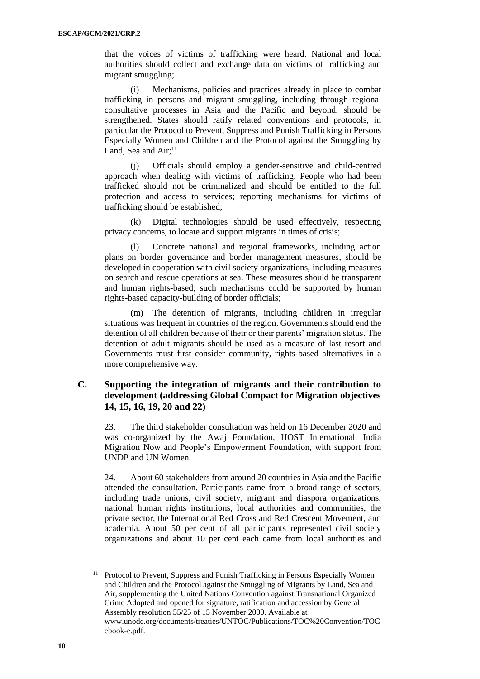that the voices of victims of trafficking were heard. National and local authorities should collect and exchange data on victims of trafficking and migrant smuggling;

(i) Mechanisms, policies and practices already in place to combat trafficking in persons and migrant smuggling, including through regional consultative processes in Asia and the Pacific and beyond, should be strengthened. States should ratify related conventions and protocols, in particular the Protocol to Prevent, Suppress and Punish Trafficking in Persons Especially Women and Children and the Protocol against the Smuggling by Land, Sea and Air;<sup>11</sup>

(j) Officials should employ a gender-sensitive and child-centred approach when dealing with victims of trafficking. People who had been trafficked should not be criminalized and should be entitled to the full protection and access to services; reporting mechanisms for victims of trafficking should be established;

(k) Digital technologies should be used effectively, respecting privacy concerns, to locate and support migrants in times of crisis;

Concrete national and regional frameworks, including action plans on border governance and border management measures, should be developed in cooperation with civil society organizations, including measures on search and rescue operations at sea. These measures should be transparent and human rights-based; such mechanisms could be supported by human rights-based capacity-building of border officials;

(m) The detention of migrants, including children in irregular situations was frequent in countries of the region. Governments should end the detention of all children because of their or their parents' migration status. The detention of adult migrants should be used as a measure of last resort and Governments must first consider community, rights-based alternatives in a more comprehensive way.

#### **C. Supporting the integration of migrants and their contribution to development (addressing Global Compact for Migration objectives 14, 15, 16, 19, 20 and 22)**

23. The third stakeholder consultation was held on 16 December 2020 and was co-organized by the Awaj Foundation, HOST International, India Migration Now and People's Empowerment Foundation, with support from UNDP and UN Women.

24. About 60 stakeholders from around 20 countries in Asia and the Pacific attended the consultation. Participants came from a broad range of sectors, including trade unions, civil society, migrant and diaspora organizations, national human rights institutions, local authorities and communities, the private sector, the International Red Cross and Red Crescent Movement, and academia. About 50 per cent of all participants represented civil society organizations and about 10 per cent each came from local authorities and

<sup>11</sup> Protocol to Prevent, Suppress and Punish Trafficking in Persons Especially Women and Children and the Protocol against the Smuggling of Migrants by Land, Sea and Air, supplementing the United Nations Convention against Transnational Organized Crime Adopted and opened for signature, ratification and accession by General Assembly resolution 55/25 of 15 November 2000. Available at [www.unodc.org/documents/treaties/UNTOC/Publications/TOC%20Convention/TOC](http://www.unodc.org/documents/treaties/UNTOC/Publications/TOC%20Convention/TOCebook-e.pdf) [ebook-e.pdf.](http://www.unodc.org/documents/treaties/UNTOC/Publications/TOC%20Convention/TOCebook-e.pdf)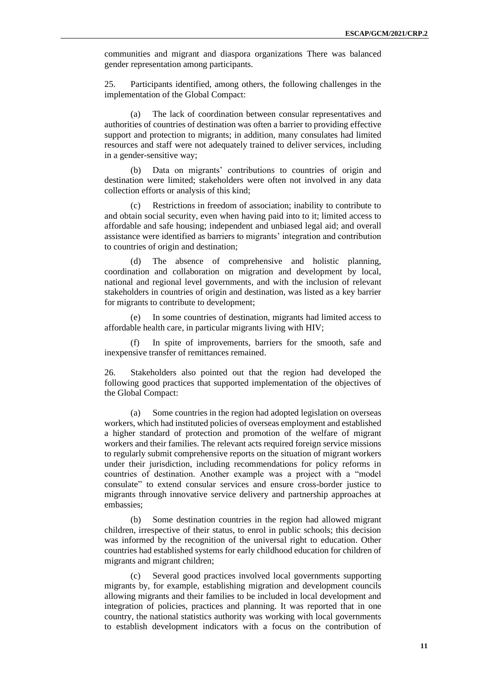communities and migrant and diaspora organizations There was balanced gender representation among participants.

25. Participants identified, among others, the following challenges in the implementation of the Global Compact:

(a) The lack of coordination between consular representatives and authorities of countries of destination was often a barrier to providing effective support and protection to migrants; in addition, many consulates had limited resources and staff were not adequately trained to deliver services, including in a gender-sensitive way;

(b) Data on migrants' contributions to countries of origin and destination were limited; stakeholders were often not involved in any data collection efforts or analysis of this kind;

(c) Restrictions in freedom of association; inability to contribute to and obtain social security, even when having paid into to it; limited access to affordable and safe housing; independent and unbiased legal aid; and overall assistance were identified as barriers to migrants' integration and contribution to countries of origin and destination;

(d) The absence of comprehensive and holistic planning, coordination and collaboration on migration and development by local, national and regional level governments, and with the inclusion of relevant stakeholders in countries of origin and destination, was listed as a key barrier for migrants to contribute to development;

(e) In some countries of destination, migrants had limited access to affordable health care, in particular migrants living with HIV;

(f) In spite of improvements, barriers for the smooth, safe and inexpensive transfer of remittances remained.

26. Stakeholders also pointed out that the region had developed the following good practices that supported implementation of the objectives of the Global Compact:

(a) Some countries in the region had adopted legislation on overseas workers, which had instituted policies of overseas employment and established a higher standard of protection and promotion of the welfare of migrant workers and their families. The relevant acts required foreign service missions to regularly submit comprehensive reports on the situation of migrant workers under their jurisdiction, including recommendations for policy reforms in countries of destination. Another example was a project with a "model consulate" to extend consular services and ensure cross-border justice to migrants through innovative service delivery and partnership approaches at embassies;

(b) Some destination countries in the region had allowed migrant children, irrespective of their status, to enrol in public schools; this decision was informed by the recognition of the universal right to education. Other countries had established systems for early childhood education for children of migrants and migrant children;

(c) Several good practices involved local governments supporting migrants by, for example, establishing migration and development councils allowing migrants and their families to be included in local development and integration of policies, practices and planning. It was reported that in one country, the national statistics authority was working with local governments to establish development indicators with a focus on the contribution of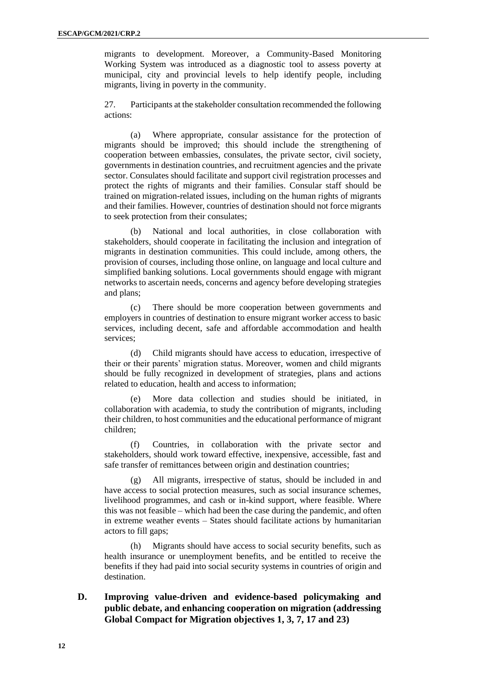migrants to development. Moreover, a Community-Based Monitoring Working System was introduced as a diagnostic tool to assess poverty at municipal, city and provincial levels to help identify people, including migrants, living in poverty in the community.

27. Participants at the stakeholder consultation recommended the following actions:

(a) Where appropriate, consular assistance for the protection of migrants should be improved; this should include the strengthening of cooperation between embassies, consulates, the private sector, civil society, governments in destination countries, and recruitment agencies and the private sector. Consulates should facilitate and support civil registration processes and protect the rights of migrants and their families. Consular staff should be trained on migration-related issues, including on the human rights of migrants and their families. However, countries of destination should not force migrants to seek protection from their consulates;

(b) National and local authorities, in close collaboration with stakeholders, should cooperate in facilitating the inclusion and integration of migrants in destination communities. This could include, among others, the provision of courses, including those online, on language and local culture and simplified banking solutions. Local governments should engage with migrant networks to ascertain needs, concerns and agency before developing strategies and plans;

(c) There should be more cooperation between governments and employers in countries of destination to ensure migrant worker access to basic services, including decent, safe and affordable accommodation and health services;

(d) Child migrants should have access to education, irrespective of their or their parents' migration status. Moreover, women and child migrants should be fully recognized in development of strategies, plans and actions related to education, health and access to information;

(e) More data collection and studies should be initiated, in collaboration with academia, to study the contribution of migrants, including their children, to host communities and the educational performance of migrant children;

(f) Countries, in collaboration with the private sector and stakeholders, should work toward effective, inexpensive, accessible, fast and safe transfer of remittances between origin and destination countries;

(g) All migrants, irrespective of status, should be included in and have access to social protection measures, such as social insurance schemes, livelihood programmes, and cash or in-kind support, where feasible. Where this was not feasible – which had been the case during the pandemic, and often in extreme weather events – States should facilitate actions by humanitarian actors to fill gaps;

(h) Migrants should have access to social security benefits, such as health insurance or unemployment benefits, and be entitled to receive the benefits if they had paid into social security systems in countries of origin and destination.

**D. Improving value-driven and evidence-based policymaking and public debate, and enhancing cooperation on migration (addressing Global Compact for Migration objectives 1, 3, 7, 17 and 23)**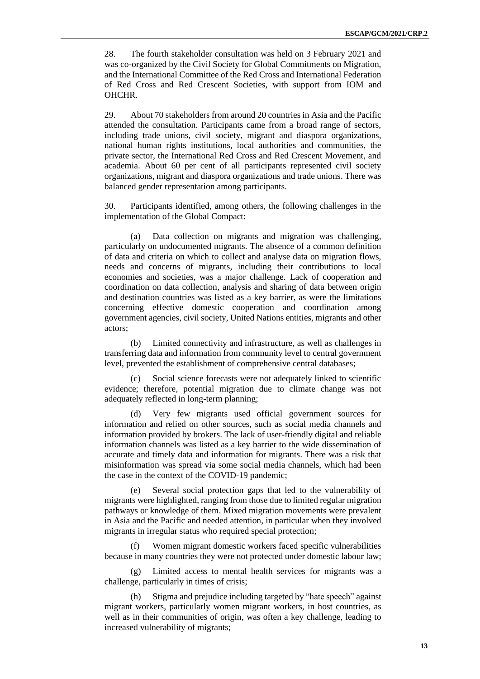28. The fourth stakeholder consultation was held on 3 February 2021 and was co-organized by the Civil Society for Global Commitments on Migration, and the International Committee of the Red Cross and International Federation of Red Cross and Red Crescent Societies, with support from IOM and OHCHR.

29. About 70 stakeholders from around 20 countries in Asia and the Pacific attended the consultation. Participants came from a broad range of sectors, including trade unions, civil society, migrant and diaspora organizations, national human rights institutions, local authorities and communities, the private sector, the International Red Cross and Red Crescent Movement, and academia. About 60 per cent of all participants represented civil society organizations, migrant and diaspora organizations and trade unions. There was balanced gender representation among participants.

30. Participants identified, among others, the following challenges in the implementation of the Global Compact:

(a) Data collection on migrants and migration was challenging, particularly on undocumented migrants. The absence of a common definition of data and criteria on which to collect and analyse data on migration flows, needs and concerns of migrants, including their contributions to local economies and societies, was a major challenge. Lack of cooperation and coordination on data collection, analysis and sharing of data between origin and destination countries was listed as a key barrier, as were the limitations concerning effective domestic cooperation and coordination among government agencies, civil society, United Nations entities, migrants and other actors;

(b) Limited connectivity and infrastructure, as well as challenges in transferring data and information from community level to central government level, prevented the establishment of comprehensive central databases;

(c) Social science forecasts were not adequately linked to scientific evidence; therefore, potential migration due to climate change was not adequately reflected in long-term planning;

(d) Very few migrants used official government sources for information and relied on other sources, such as social media channels and information provided by brokers. The lack of user-friendly digital and reliable information channels was listed as a key barrier to the wide dissemination of accurate and timely data and information for migrants. There was a risk that misinformation was spread via some social media channels, which had been the case in the context of the COVID-19 pandemic;

(e) Several social protection gaps that led to the vulnerability of migrants were highlighted, ranging from those due to limited regular migration pathways or knowledge of them. Mixed migration movements were prevalent in Asia and the Pacific and needed attention, in particular when they involved migrants in irregular status who required special protection;

(f) Women migrant domestic workers faced specific vulnerabilities because in many countries they were not protected under domestic labour law;

(g) Limited access to mental health services for migrants was a challenge, particularly in times of crisis;

(h) Stigma and prejudice including targeted by "hate speech" against migrant workers, particularly women migrant workers, in host countries, as well as in their communities of origin, was often a key challenge, leading to increased vulnerability of migrants;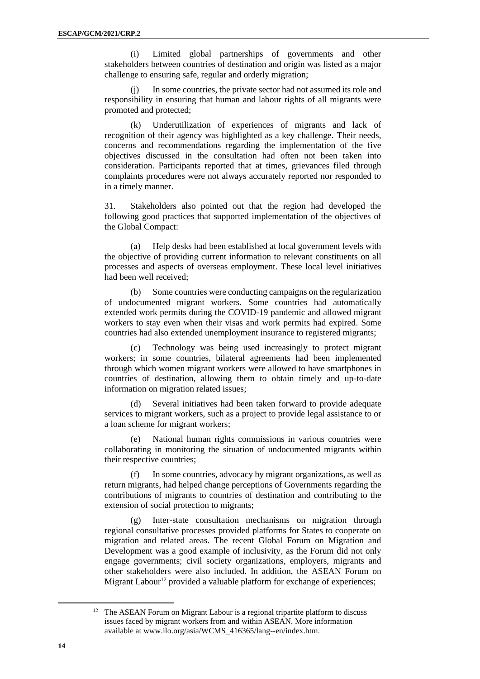(i) Limited global partnerships of governments and other stakeholders between countries of destination and origin was listed as a major challenge to ensuring safe, regular and orderly migration;

(j) In some countries, the private sector had not assumed its role and responsibility in ensuring that human and labour rights of all migrants were promoted and protected;

(k) Underutilization of experiences of migrants and lack of recognition of their agency was highlighted as a key challenge. Their needs, concerns and recommendations regarding the implementation of the five objectives discussed in the consultation had often not been taken into consideration. Participants reported that at times, grievances filed through complaints procedures were not always accurately reported nor responded to in a timely manner.

31. Stakeholders also pointed out that the region had developed the following good practices that supported implementation of the objectives of the Global Compact:

(a) Help desks had been established at local government levels with the objective of providing current information to relevant constituents on all processes and aspects of overseas employment. These local level initiatives had been well received;

(b) Some countries were conducting campaigns on the regularization of undocumented migrant workers. Some countries had automatically extended work permits during the COVID-19 pandemic and allowed migrant workers to stay even when their visas and work permits had expired. Some countries had also extended unemployment insurance to registered migrants;

(c) Technology was being used increasingly to protect migrant workers; in some countries, bilateral agreements had been implemented through which women migrant workers were allowed to have smartphones in countries of destination, allowing them to obtain timely and up-to-date information on migration related issues;

(d) Several initiatives had been taken forward to provide adequate services to migrant workers, such as a project to provide legal assistance to or a loan scheme for migrant workers;

(e) National human rights commissions in various countries were collaborating in monitoring the situation of undocumented migrants within their respective countries;

(f) In some countries, advocacy by migrant organizations, as well as return migrants, had helped change perceptions of Governments regarding the contributions of migrants to countries of destination and contributing to the extension of social protection to migrants;

(g) Inter-state consultation mechanisms on migration through regional consultative processes provided platforms for States to cooperate on migration and related areas. The recent Global Forum on Migration and Development was a good example of inclusivity, as the Forum did not only engage governments; civil society organizations, employers, migrants and other stakeholders were also included. In addition, the ASEAN Forum on Migrant Labour<sup>12</sup> provided a valuable platform for exchange of experiences;

<sup>&</sup>lt;sup>12</sup> The ASEAN Forum on Migrant Labour is a regional tripartite platform to discuss issues faced by migrant workers from and within ASEAN. More information available at [www.ilo.org/asia/WCMS\\_416365/lang--en/index.htm.](http://www.ilo.org/asia/WCMS_416365/lang--en/index.htm)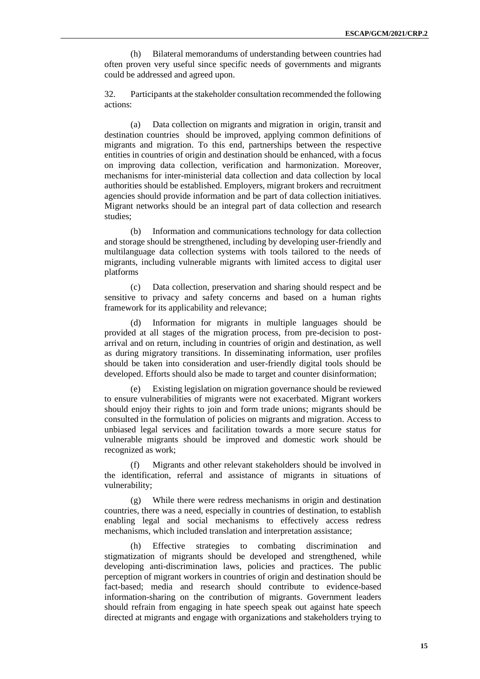(h) Bilateral memorandums of understanding between countries had often proven very useful since specific needs of governments and migrants could be addressed and agreed upon.

32. Participants at the stakeholder consultation recommended the following actions:

(a) Data collection on migrants and migration in origin, transit and destination countries should be improved, applying common definitions of migrants and migration. To this end, partnerships between the respective entities in countries of origin and destination should be enhanced, with a focus on improving data collection, verification and harmonization. Moreover, mechanisms for inter-ministerial data collection and data collection by local authorities should be established. Employers, migrant brokers and recruitment agencies should provide information and be part of data collection initiatives. Migrant networks should be an integral part of data collection and research studies;

(b) Information and communications technology for data collection and storage should be strengthened, including by developing user-friendly and multilanguage data collection systems with tools tailored to the needs of migrants, including vulnerable migrants with limited access to digital user platforms

(c) Data collection, preservation and sharing should respect and be sensitive to privacy and safety concerns and based on a human rights framework for its applicability and relevance;

(d) Information for migrants in multiple languages should be provided at all stages of the migration process, from pre-decision to postarrival and on return, including in countries of origin and destination, as well as during migratory transitions. In disseminating information, user profiles should be taken into consideration and user-friendly digital tools should be developed. Efforts should also be made to target and counter disinformation;

(e) Existing legislation on migration governance should be reviewed to ensure vulnerabilities of migrants were not exacerbated. Migrant workers should enjoy their rights to join and form trade unions; migrants should be consulted in the formulation of policies on migrants and migration. Access to unbiased legal services and facilitation towards a more secure status for vulnerable migrants should be improved and domestic work should be recognized as work;

(f) Migrants and other relevant stakeholders should be involved in the identification, referral and assistance of migrants in situations of vulnerability;

(g) While there were redress mechanisms in origin and destination countries, there was a need, especially in countries of destination, to establish enabling legal and social mechanisms to effectively access redress mechanisms, which included translation and interpretation assistance;

(h) Effective strategies to combating discrimination and stigmatization of migrants should be developed and strengthened, while developing anti-discrimination laws, policies and practices. The public perception of migrant workers in countries of origin and destination should be fact-based; media and research should contribute to evidence-based information-sharing on the contribution of migrants. Government leaders should refrain from engaging in hate speech speak out against hate speech directed at migrants and engage with organizations and stakeholders trying to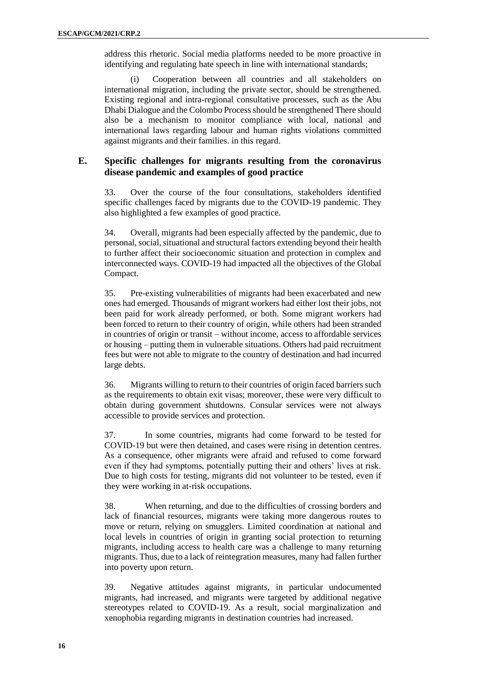address this rhetoric. Social media platforms needed to be more proactive in identifying and regulating hate speech in line with international standards;

(i) Cooperation between all countries and all stakeholders on international migration, including the private sector, should be strengthened. Existing regional and intra-regional consultative processes, such as the Abu Dhabi Dialogue and the Colombo Process should be strengthened There should also be a mechanism to monitor compliance with local, national and international laws regarding labour and human rights violations committed against migrants and their families. in this regard.

#### **E. Specific challenges for migrants resulting from the coronavirus disease pandemic and examples of good practice**

33. Over the course of the four consultations, stakeholders identified specific challenges faced by migrants due to the COVID-19 pandemic. They also highlighted a few examples of good practice.

34. Overall, migrants had been especially affected by the pandemic, due to personal, social, situational and structural factors extending beyond their health to further affect their socioeconomic situation and protection in complex and interconnected ways. COVID-19 had impacted all the objectives of the Global Compact.

35. Pre-existing vulnerabilities of migrants had been exacerbated and new ones had emerged. Thousands of migrant workers had either lost their jobs, not been paid for work already performed, or both. Some migrant workers had been forced to return to their country of origin, while others had been stranded in countries of origin or transit – without income, access to affordable services or housing – putting them in vulnerable situations. Others had paid recruitment fees but were not able to migrate to the country of destination and had incurred large debts.

36. Migrants willing to return to their countries of origin faced barriers such as the requirements to obtain exit visas; moreover, these were very difficult to obtain during government shutdowns. Consular services were not always accessible to provide services and protection.

37. In some countries, migrants had come forward to be tested for COVID-19 but were then detained, and cases were rising in detention centres. As a consequence, other migrants were afraid and refused to come forward even if they had symptoms, potentially putting their and others' lives at risk. Due to high costs for testing, migrants did not volunteer to be tested, even if they were working in at-risk occupations.

38. When returning, and due to the difficulties of crossing borders and lack of financial resources, migrants were taking more dangerous routes to move or return, relying on smugglers. Limited coordination at national and local levels in countries of origin in granting social protection to returning migrants, including access to health care was a challenge to many returning migrants. Thus, due to a lack of reintegration measures, many had fallen further into poverty upon return.

39. Negative attitudes against migrants, in particular undocumented migrants, had increased, and migrants were targeted by additional negative stereotypes related to COVID-19. As a result, social marginalization and xenophobia regarding migrants in destination countries had increased.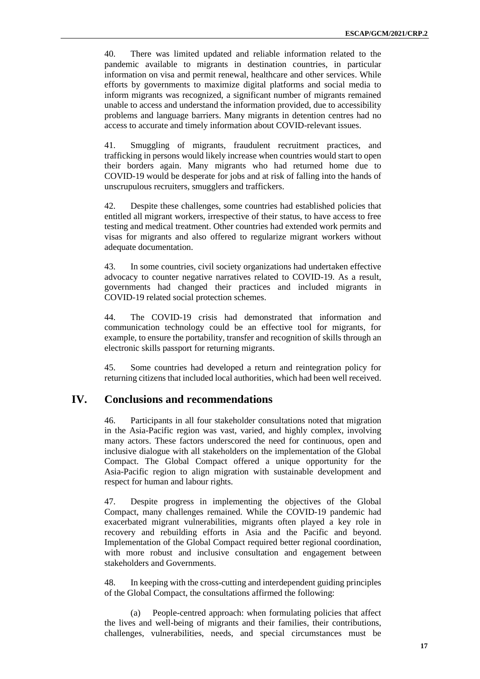40. There was limited updated and reliable information related to the pandemic available to migrants in destination countries, in particular information on visa and permit renewal, healthcare and other services. While efforts by governments to maximize digital platforms and social media to inform migrants was recognized, a significant number of migrants remained unable to access and understand the information provided, due to accessibility problems and language barriers. Many migrants in detention centres had no access to accurate and timely information about COVID-relevant issues.

41. Smuggling of migrants, fraudulent recruitment practices, and trafficking in persons would likely increase when countries would start to open their borders again. Many migrants who had returned home due to COVID-19 would be desperate for jobs and at risk of falling into the hands of unscrupulous recruiters, smugglers and traffickers.

42. Despite these challenges, some countries had established policies that entitled all migrant workers, irrespective of their status, to have access to free testing and medical treatment. Other countries had extended work permits and visas for migrants and also offered to regularize migrant workers without adequate documentation.

43. In some countries, civil society organizations had undertaken effective advocacy to counter negative narratives related to COVID-19. As a result, governments had changed their practices and included migrants in COVID-19 related social protection schemes.

44. The COVID-19 crisis had demonstrated that information and communication technology could be an effective tool for migrants, for example, to ensure the portability, transfer and recognition of skills through an electronic skills passport for returning migrants.

45. Some countries had developed a return and reintegration policy for returning citizens that included local authorities, which had been well received.

#### **IV. Conclusions and recommendations**

46. Participants in all four stakeholder consultations noted that migration in the Asia-Pacific region was vast, varied, and highly complex, involving many actors. These factors underscored the need for continuous, open and inclusive dialogue with all stakeholders on the implementation of the Global Compact. The Global Compact offered a unique opportunity for the Asia-Pacific region to align migration with sustainable development and respect for human and labour rights.

47. Despite progress in implementing the objectives of the Global Compact, many challenges remained. While the COVID-19 pandemic had exacerbated migrant vulnerabilities, migrants often played a key role in recovery and rebuilding efforts in Asia and the Pacific and beyond. Implementation of the Global Compact required better regional coordination, with more robust and inclusive consultation and engagement between stakeholders and Governments.

48. In keeping with the cross-cutting and interdependent guiding principles of the Global Compact, the consultations affirmed the following:

(a) People-centred approach: when formulating policies that affect the lives and well-being of migrants and their families, their contributions, challenges, vulnerabilities, needs, and special circumstances must be